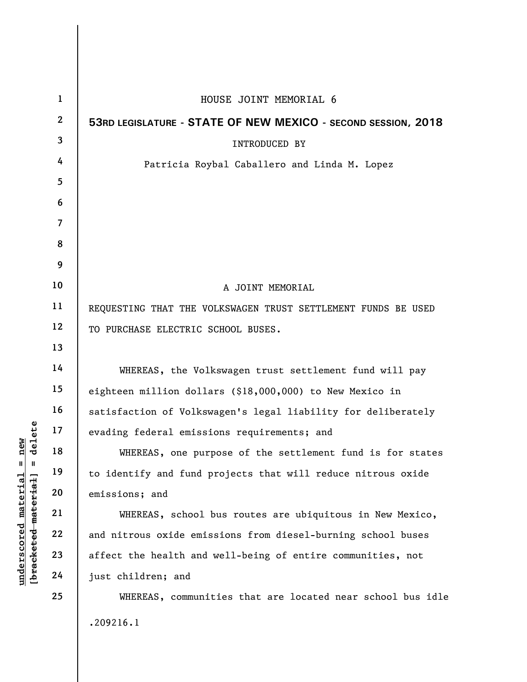| $\mathbf{1}$     | HOUSE JOINT MEMORIAL 6                                        |
|------------------|---------------------------------------------------------------|
| $\boldsymbol{2}$ | 53RD LEGISLATURE - STATE OF NEW MEXICO - SECOND SESSION, 2018 |
| 3                | <b>INTRODUCED BY</b>                                          |
| 4                | Patricia Roybal Caballero and Linda M. Lopez                  |
| 5                |                                                               |
| 6                |                                                               |
| 7                |                                                               |
| 8                |                                                               |
| 9                |                                                               |
| 10               | A JOINT MEMORIAL                                              |
| 11               | REQUESTING THAT THE VOLKSWAGEN TRUST SETTLEMENT FUNDS BE USED |
| 12               | TO PURCHASE ELECTRIC SCHOOL BUSES.                            |
| 13               |                                                               |
| 14               | WHEREAS, the Volkswagen trust settlement fund will pay        |
| 15               | eighteen million dollars (\$18,000,000) to New Mexico in      |
| 16               | satisfaction of Volkswagen's legal liability for deliberately |
| 17               | evading federal emissions requirements; and                   |
| 18               | WHEREAS, one purpose of the settlement fund is for states     |
| 19               | to identify and fund projects that will reduce nitrous oxide  |
| 20               | emissions; and                                                |
| 21               | WHEREAS, school bus routes are ubiquitous in New Mexico,      |
| 22               | and nitrous oxide emissions from diesel-burning school buses  |
| 23               | affect the health and well-being of entire communities, not   |
| 24               | just children; and                                            |
| 25               | WHEREAS, communities that are located near school bus idle    |
|                  | .209216.1                                                     |
|                  |                                                               |

**underscored material = new [bracketed material] = delete**

 $[bracketeed-materiat] = delete$  $underscored material = new$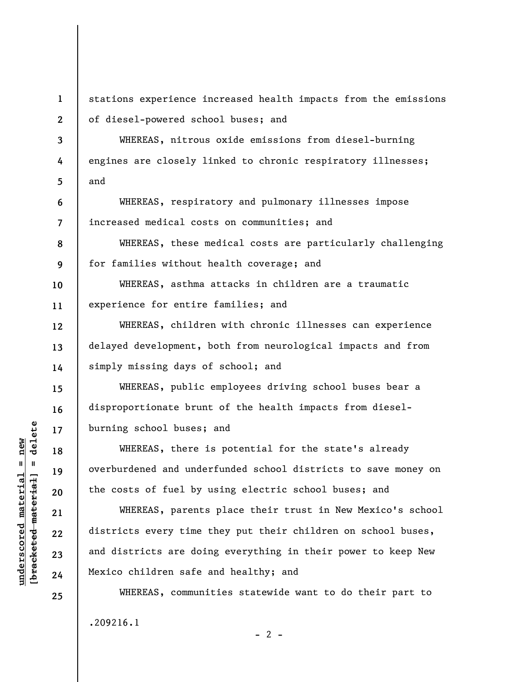**1 2** 

**3** 

**4** 

**5** 

**6** 

**7** 

**8** 

**9** 

**12** 

**13** 

**14** 

**15** 

**16** 

**17** 

**18** 

**19** 

**20** 

**21** 

**22** 

**23** 

**24** 

**25** 

stations experience increased health impacts from the emissions of diesel-powered school buses; and

WHEREAS, nitrous oxide emissions from diesel-burning engines are closely linked to chronic respiratory illnesses; and

WHEREAS, respiratory and pulmonary illnesses impose increased medical costs on communities; and

WHEREAS, these medical costs are particularly challenging for families without health coverage; and

**10 11**  WHEREAS, asthma attacks in children are a traumatic experience for entire families; and

WHEREAS, children with chronic illnesses can experience delayed development, both from neurological impacts and from simply missing days of school; and

WHEREAS, public employees driving school buses bear a disproportionate brunt of the health impacts from dieselburning school buses; and

WHEREAS, there is potential for the state's already overburdened and underfunded school districts to save money on the costs of fuel by using electric school buses; and

WHEREAS, parents place their trust in New Mexico's school districts every time they put their children on school buses, and districts are doing everything in their power to keep New Mexico children safe and healthy; and

WHEREAS, communities statewide want to do their part to .209216.1  $- 2 -$ 

 $b$ racketed material] = delete **[bracketed material] = delete**  $underscored material = new$ **underscored material = new**